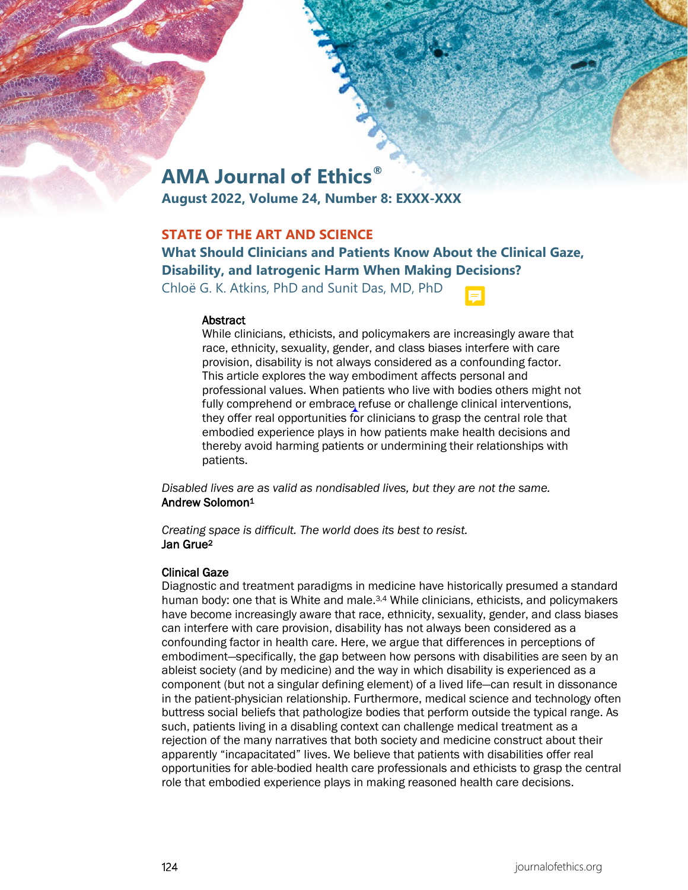# **AMA Journal of Ethics®**

**August 2022, Volume 24, Number 8: EXXX-XXX**

# **STATE OF THE ART AND SCIENCE**

**What Should Clinicians and Patients Know About the Clinical Gaze, Disability, and Iatrogenic Harm When Making Decisions?**

Chloë G. K. Atkins, PhD and Sunit Das, MD, PhD

#### **Abstract**

While clinicians, ethicists, and policymakers are increasingly aware that race, ethnicity, sexuality, gender, and class biases interfere with care provision, disability is not always considered as a confounding factor. This article explores the way embodiment affects personal and professional values. When patients who live with bodies others might not fully comprehend or embrace refuse or challenge clinical interventions, they offer real opportunities for clinicians to grasp the central role that embodied experience plays in how patients make health decisions and thereby avoid harming patients or undermining their relationships with patients.

*Disabled lives are as valid as nondisabled lives, but they are not the same.* Andrew Solomon1

*Creating space is difficult. The world does its best to resist.* Jan Grue2

## Clinical Gaze

Diagnostic and treatment paradigms in medicine have historically presumed a standard human body: one that is White and male.<sup>3,4</sup> While clinicians, ethicists, and policymakers have become increasingly aware that race, ethnicity, sexuality, gender, and class biases can interfere with care provision, disability has not always been considered as a confounding factor in health care. Here, we argue that differences in perceptions of embodiment—specifically, the gap between how persons with disabilities are seen by an ableist society (and by medicine) and the way in which disability is experienced as a component (but not a singular defining element) of a lived life—can result in dissonance in the patient-physician relationship. Furthermore, medical science and technology often buttress social beliefs that pathologize bodies that perform outside the typical range. As such, patients living in a disabling context can challenge medical treatment as a rejection of the many narratives that both society and medicine construct about their apparently "incapacitated" lives. We believe that patients with disabilities offer real opportunities for able-bodied health care professionals and ethicists to grasp the central role that embodied experience plays in making reasoned health care decisions.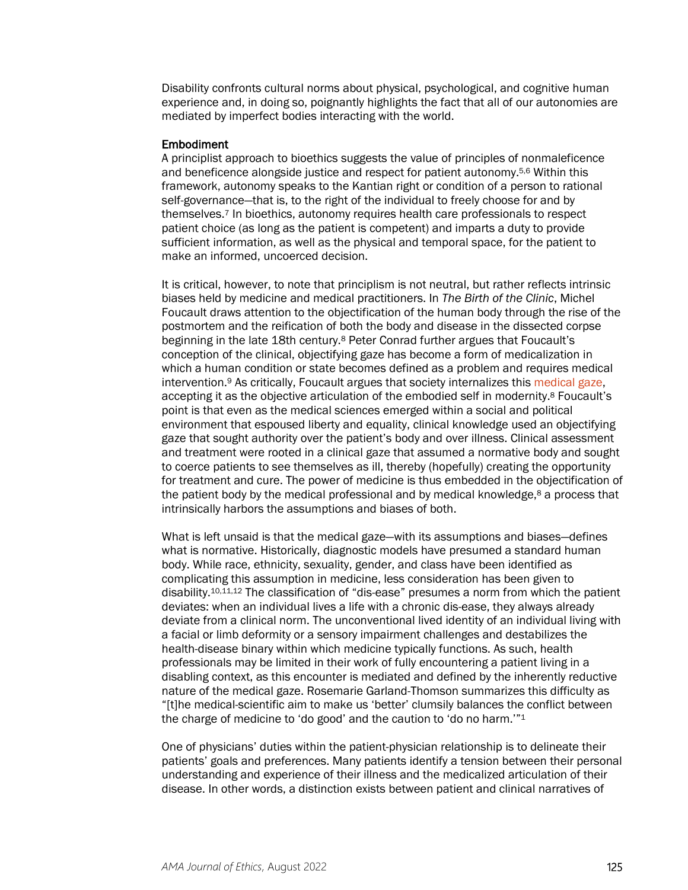Disability confronts cultural norms about physical, psychological, and cognitive human experience and, in doing so, poignantly highlights the fact that all of our autonomies are mediated by imperfect bodies interacting with the world.

## Embodiment

A principlist approach to bioethics suggests the value of principles of nonmaleficence and beneficence alongside justice and respect for patient autonomy.5,6 Within this framework, autonomy speaks to the Kantian right or condition of a person to rational self-governance—that is, to the right of the individual to freely choose for and by themselves.7 In bioethics, autonomy requires health care professionals to respect patient choice (as long as the patient is competent) and imparts a duty to provide sufficient information, as well as the physical and temporal space, for the patient to make an informed, uncoerced decision.

It is critical, however, to note that principlism is not neutral, but rather reflects intrinsic biases held by medicine and medical practitioners. In *The Birth of the Clinic*, Michel Foucault draws attention to the objectification of the human body through the rise of the postmortem and the reification of both the body and disease in the dissected corpse beginning in the late 18th century.8 Peter Conrad further argues that Foucault's conception of the clinical, objectifying gaze has become a form of medicalization in which a human condition or state becomes defined as a problem and requires medical intervention.9 As critically, Foucault argues that society internalizes this [medical gaze,](https://journalofethics.ama-assn.org/article/penetrating-gaze-and-decline-autopsy/2016-08) accepting it as the objective articulation of the embodied self in modernity.8 Foucault's point is that even as the medical sciences emerged within a social and political environment that espoused liberty and equality, clinical knowledge used an objectifying gaze that sought authority over the patient's body and over illness. Clinical assessment and treatment were rooted in a clinical gaze that assumed a normative body and sought to coerce patients to see themselves as ill, thereby (hopefully) creating the opportunity for treatment and cure. The power of medicine is thus embedded in the objectification of the patient body by the medical professional and by medical knowledge, $8$  a process that intrinsically harbors the assumptions and biases of both.

What is left unsaid is that the medical gaze—with its assumptions and biases—defines what is normative. Historically, diagnostic models have presumed a standard human body. While race, ethnicity, sexuality, gender, and class have been identified as complicating this assumption in medicine, less consideration has been given to disability.10,11,12 The classification of "dis-ease" presumes a norm from which the patient deviates: when an individual lives a life with a chronic dis-ease, they always already deviate from a clinical norm. The unconventional lived identity of an individual living with a facial or limb deformity or a sensory impairment challenges and destabilizes the health-disease binary within which medicine typically functions. As such, health professionals may be limited in their work of fully encountering a patient living in a disabling context, as this encounter is mediated and defined by the inherently reductive nature of the medical gaze. Rosemarie Garland-Thomson summarizes this difficulty as "[t]he medical-scientific aim to make us 'better' clumsily balances the conflict between the charge of medicine to 'do good' and the caution to 'do no harm.'"1

One of physicians' duties within the patient-physician relationship is to delineate their patients' goals and preferences. Many patients identify a tension between their personal understanding and experience of their illness and the medicalized articulation of their disease. In other words, a distinction exists between patient and clinical narratives of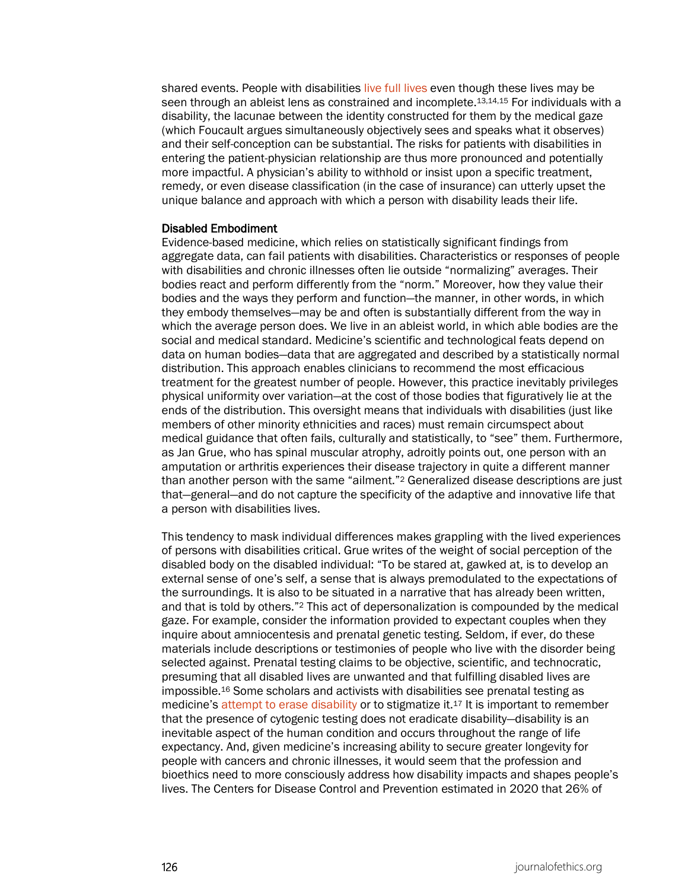shared events. People with disabilities [live full lives](https://journalofethics.ama-assn.org/article/three-things-clinicians-should-know-about-disability/2018-12) even though these lives may be seen through an ableist lens as constrained and incomplete.<sup>13,14,15</sup> For individuals with a disability, the lacunae between the identity constructed for them by the medical gaze (which Foucault argues simultaneously objectively sees and speaks what it observes) and their self-conception can be substantial. The risks for patients with disabilities in entering the patient-physician relationship are thus more pronounced and potentially more impactful. A physician's ability to withhold or insist upon a specific treatment, remedy, or even disease classification (in the case of insurance) can utterly upset the unique balance and approach with which a person with disability leads their life.

## Disabled Embodiment

Evidence-based medicine, which relies on statistically significant findings from aggregate data, can fail patients with disabilities. Characteristics or responses of people with disabilities and chronic illnesses often lie outside "normalizing" averages. Their bodies react and perform differently from the "norm." Moreover, how they value their bodies and the ways they perform and function—the manner, in other words, in which they embody themselves—may be and often is substantially different from the way in which the average person does. We live in an ableist world, in which able bodies are the social and medical standard. Medicine's scientific and technological feats depend on data on human bodies—data that are aggregated and described by a statistically normal distribution. This approach enables clinicians to recommend the most efficacious treatment for the greatest number of people. However, this practice inevitably privileges physical uniformity over variation—at the cost of those bodies that figuratively lie at the ends of the distribution. This oversight means that individuals with disabilities (just like members of other minority ethnicities and races) must remain circumspect about medical guidance that often fails, culturally and statistically, to "see" them. Furthermore, as Jan Grue, who has spinal muscular atrophy, adroitly points out, one person with an amputation or arthritis experiences their disease trajectory in quite a different manner than another person with the same "ailment."2 Generalized disease descriptions are just that—general—and do not capture the specificity of the adaptive and innovative life that a person with disabilities lives.

This tendency to mask individual differences makes grappling with the lived experiences of persons with disabilities critical. Grue writes of the weight of social perception of the disabled body on the disabled individual: "To be stared at, gawked at, is to develop an external sense of one's self, a sense that is always premodulated to the expectations of the surroundings. It is also to be situated in a narrative that has already been written, and that is told by others."2 This act of depersonalization is compounded by the medical gaze. For example, consider the information provided to expectant couples when they inquire about amniocentesis and prenatal genetic testing. Seldom, if ever, do these materials include descriptions or testimonies of people who live with the disorder being selected against. Prenatal testing claims to be objective, scientific, and technocratic, presuming that all disabled lives are unwanted and that fulfilling disabled lives are impossible.16 Some scholars and activists with disabilities see prenatal testing as medicine's [attempt to erase disability](https://journalofethics.ama-assn.org/article/keeping-backdoor-eugenics-ajar-disability-and-future-prenatal-screening/2016-04) or to stigmatize it.<sup>17</sup> It is important to remember that the presence of cytogenic testing does not eradicate disability—disability is an inevitable aspect of the human condition and occurs throughout the range of life expectancy. And, given medicine's increasing ability to secure greater longevity for people with cancers and chronic illnesses, it would seem that the profession and bioethics need to more consciously address how disability impacts and shapes people's lives. The Centers for Disease Control and Prevention estimated in 2020 that 26% of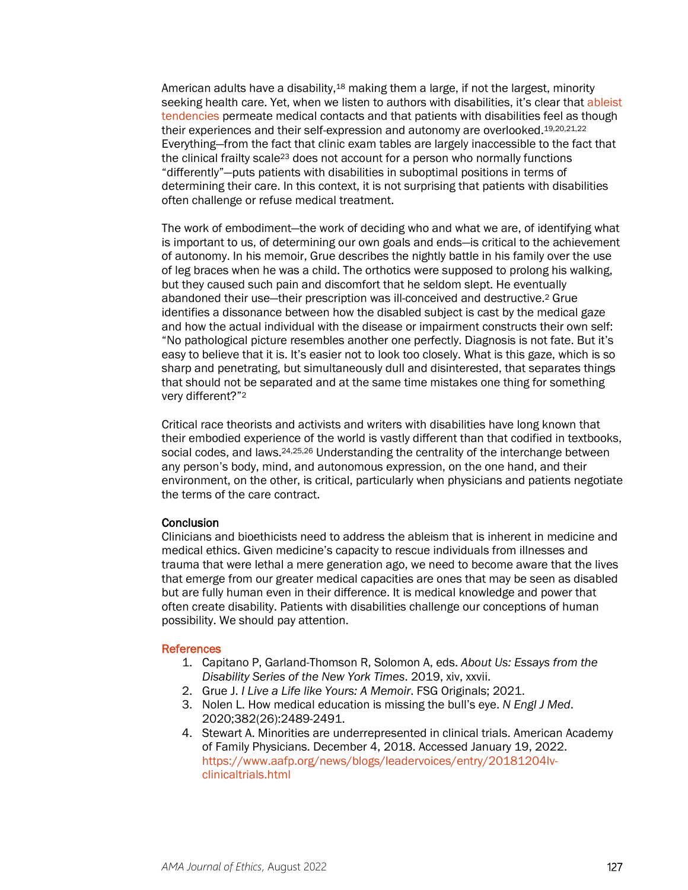American adults have a disability,<sup>18</sup> making them a large, if not the largest, minority seeking health care. Yet, when we listen to authors with disabilities, it's clear that ableist [tendencies](https://journalofethics.ama-assn.org/article/why-disability-must-be-included-medical-school-diversification-efforts/2021-12) permeate medical contacts and that patients with disabilities feel as though their experiences and their self-expression and autonomy are overlooked.19,20,21,22 Everything—from the fact that clinic exam tables are largely inaccessible to the fact that the clinical frailty scale23 does not account for a person who normally functions "differently"—puts patients with disabilities in suboptimal positions in terms of determining their care. In this context, it is not surprising that patients with disabilities often challenge or refuse medical treatment.

The work of embodiment—the work of deciding who and what we are, of identifying what is important to us, of determining our own goals and ends—is critical to the achievement of autonomy. In his memoir, Grue describes the nightly battle in his family over the use of leg braces when he was a child. The orthotics were supposed to prolong his walking, but they caused such pain and discomfort that he seldom slept. He eventually abandoned their use—their prescription was ill-conceived and destructive.2 Grue identifies a dissonance between how the disabled subject is cast by the medical gaze and how the actual individual with the disease or impairment constructs their own self: "No pathological picture resembles another one perfectly. Diagnosis is not fate. But it's easy to believe that it is. It's easier not to look too closely. What is this gaze, which is so sharp and penetrating, but simultaneously dull and disinterested, that separates things that should not be separated and at the same time mistakes one thing for something very different?"2

Critical race theorists and activists and writers with disabilities have long known that their embodied experience of the world is vastly different than that codified in textbooks, social codes, and laws.<sup>24,25,26</sup> Understanding the centrality of the interchange between any person's body, mind, and autonomous expression, on the one hand, and their environment, on the other, is critical, particularly when physicians and patients negotiate the terms of the care contract.

## **Conclusion**

Clinicians and bioethicists need to address the ableism that is inherent in medicine and medical ethics. Given medicine's capacity to rescue individuals from illnesses and trauma that were lethal a mere generation ago, we need to become aware that the lives that emerge from our greater medical capacities are ones that may be seen as disabled but are fully human even in their difference. It is medical knowledge and power that often create disability. Patients with disabilities challenge our conceptions of human possibility. We should pay attention.

## **References**

- 1. Capitano P, Garland-Thomson R, Solomon A, eds. *About Us: Essays from the Disability Series of the New York Times*. 2019, xiv, xxvii.
- 2. Grue J. *I Live a Life like Yours: A Memoir*. FSG Originals; 2021.
- 3. Nolen L. How medical education is missing the bull's eye. *N Engl J Med*. 2020;382(26):2489-2491.
- 4. Stewart A. Minorities are underrepresented in clinical trials. American Academy of Family Physicians. December 4, 2018. Accessed January 19, 2022. [https://www.aafp.org/news/blogs/leadervoices/entry/20181204lv](https://www.aafp.org/news/blogs/leadervoices/entry/20181204lv-clinicaltrials.html)[clinicaltrials.html](https://www.aafp.org/news/blogs/leadervoices/entry/20181204lv-clinicaltrials.html)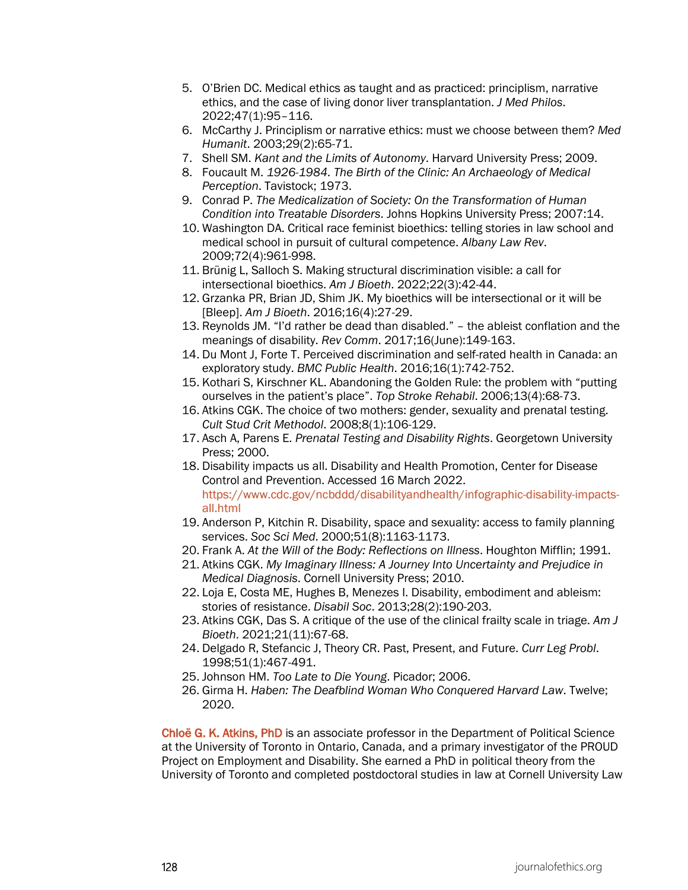- 5. O'Brien DC. Medical ethics as taught and as practiced: principlism, narrative ethics, and the case of living donor liver transplantation. *J Med Philos*. 2022;47(1):95–116.
- 6. McCarthy J. Principlism or narrative ethics: must we choose between them? *Med Humanit*. 2003;29(2):65-71.
- 7. Shell SM. *Kant and the Limits of Autonomy*. Harvard University Press; 2009.
- 8. Foucault M. *1926-1984. The Birth of the Clinic: An Archaeology of Medical Perception*. Tavistock; 1973.
- 9. Conrad P. *The Medicalization of Society: On the Transformation of Human Condition into Treatable Disorders*. Johns Hopkins University Press; 2007:14.
- 10. Washington DA. Critical race feminist bioethics: telling stories in law school and medical school in pursuit of cultural competence. *Albany Law Rev*. 2009;72(4):961-998.
- 11. Brünig L, Salloch S. Making structural discrimination visible: a call for intersectional bioethics. *Am J Bioeth*. 2022;22(3):42-44.
- 12. Grzanka PR, Brian JD, Shim JK. My bioethics will be intersectional or it will be [Bleep]. *Am J Bioeth*. 2016;16(4):27-29.
- 13. Reynolds JM. "I'd rather be dead than disabled." the ableist conflation and the meanings of disability. *Rev Comm*. 2017;16(June):149-163.
- 14. Du Mont J, Forte T. Perceived discrimination and self-rated health in Canada: an exploratory study. *BMC Public Health*. 2016;16(1):742-752.
- 15. Kothari S, Kirschner KL. Abandoning the Golden Rule: the problem with "putting ourselves in the patient's place". *Top Stroke Rehabil*. 2006;13(4):68-73.
- 16. Atkins CGK. The choice of two mothers: gender, sexuality and prenatal testing. *Cult Stud Crit Methodol*. 2008;8(1):106-129.
- 17. Asch A, Parens E. *Prenatal Testing and Disability Rights*. Georgetown University Press; 2000.
- 18. Disability impacts us all. Disability and Health Promotion, Center for Disease Control and Prevention. Accessed 16 March 2022. [https://www.cdc.gov/ncbddd/disabilityandhealth/infographic-disability-impacts](https://www.cdc.gov/ncbddd/disabilityandhealth/infographic-disability-impacts-all.html)[all.html](https://www.cdc.gov/ncbddd/disabilityandhealth/infographic-disability-impacts-all.html)
- 19. Anderson P, Kitchin R. Disability, space and sexuality: access to family planning services. *Soc Sci Med*. 2000;51(8):1163-1173.
- 20. Frank A. *At the Will of the Body: Reflections on Illness*. Houghton Mifflin; 1991.
- 21. Atkins CGK. *My Imaginary Illness: A Journey Into Uncertainty and Prejudice in Medical Diagnosis*. Cornell University Press; 2010.
- 22. Loja E, Costa ME, Hughes B, Menezes I. Disability, embodiment and ableism: stories of resistance. *Disabil Soc*. 2013;28(2):190-203.
- 23. Atkins CGK, Das S. A critique of the use of the clinical frailty scale in triage. *Am J Bioeth*. 2021;21(11):67-68.
- 24. Delgado R, Stefancic J, Theory CR. Past, Present, and Future. *Curr Leg Probl*. 1998;51(1):467-491.
- 25. Johnson HM. *Too Late to Die Young*. Picador; 2006.
- 26. Girma H. *Haben: The Deafblind Woman Who Conquered Harvard Law*. Twelve; 2020.

Chloë G. K. Atkins, PhD is an associate professor in the Department of Political Science at the University of Toronto in Ontario, Canada, and a primary investigator of the PROUD Project on Employment and Disability. She earned a PhD in political theory from the University of Toronto and completed postdoctoral studies in law at Cornell University Law